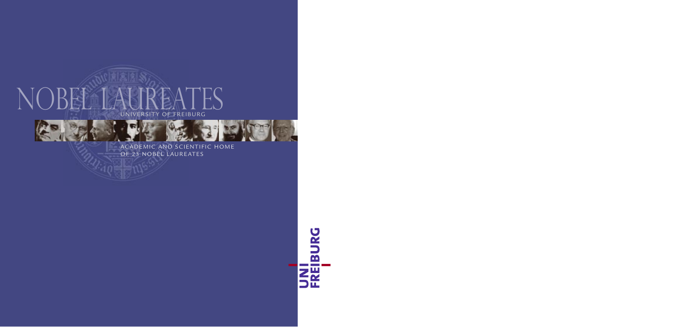

ACADEMIC AND SCIENTIFIC HOME OF 23 NOBEL LAUREATES

UNI<br>FREIBURG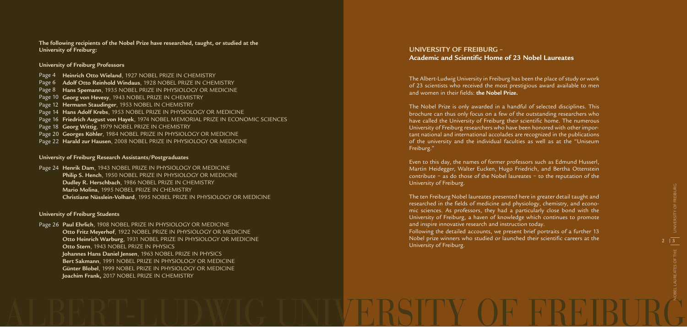The Albert-Ludwig University in Freiburg has been the place of study or work of 23 scientists who received the most prestigious award available to men and women in their fields: **the Nobel Prize.**

The Nobel Prize is only awarded in a handful of selected disciplines. This brochure can thus only focus on a few of the outstanding researchers who have called the University of Freiburg their scientific home. The numerous University of Freiburg researchers who have been honored with other important national and international accolades are recognized in the publications of the university and the individual faculties as well as at the "Uniseum Freiburg."

Even to this day, the names of former professors such as Edmund Husserl, Martin Heidegger, Walter Eucken, Hugo Friedrich, and Bertha Ottenstein contribute – as do those of the Nobel laureates – to the reputation of the University of Freiburg.

> **2**  $\sqrt{3}$ NOBEL LAUREATES OF THE

Page 4 **Heinrich Otto Wieland**, 1927 NOBEL PRIZE IN CHEMISTRY **Adolf Otto Reinhold Windaus**, 1928 NOBEL PRIZE IN CHEMISTRY Page 6 Page 8 **Hans Spemann**, 1935 NOBEL PRIZE IN PHYSIOLOGY OR MEDICINE Page 10 **Georg von Hevesy**, 1943 NOBEL PRIZE IN CHEMISTRY Page 12 **Hermann Staudinger**, 1953 NOBEL IN CHEMISTRY Page 14 **Hans Adolf Krebs**, 1953 NOBEL PRIZE IN PHYSIOLOGY OR MEDICINE **Friedrich August von Hayek**, 1974 NOBEL MEMORIAL PRIZE IN ECONOMIC SCIENCES Page 16 Page 18 **Georg Wittig**, 1979 NOBEL PRIZE IN CHEMISTRY **Georges Köhler**, 1984 NOBEL PRIZE IN PHYSIOLOGY OR MEDICINE Page 20 **Harald zur Hausen**, 2008 NOBEL PRIZE IN PHYSIOLOGY OR MEDICINE Page 22

> The ten Freiburg Nobel laureates presented here in greater detail taught and researched in the fields of medicine and physiology, chemistry, and economic sciences. As professors, they had a particularly close bond with the University of Freiburg, a haven of knowledge which continues to promote and inspire innovative research and instruction today. Following the detailed accounts, we present brief portraits of a further 13 Nobel prize winners who studied or launched their scientific careers at the University of Freiburg.

Page 24 **Henrik Dam**, 1943 NOBEL PRIZE IN PHYSIOLOGY OR MEDICINE **Philip S. Hench**, 1950 NOBEL PRIZE IN PHYSIOLOGY OR MEDICINE **Dudley R. Herschbach**, 1986 NOBEL PRIZE IN CHEMISTRY **Mario Molina**, 1995 NOBEL PRIZE IN CHEMISTRY **Christiane Nüsslein-Volhard**, 1995 NOBEL PRIZE IN PHYSIOLOGY OR MEDICINE

### **UNIVERSITY OF FREIBURG – Academic and Scientific Home of 23 Nobel Laureates**

### ALBERT-LUDWIG UNIVERSITY OF FREIBURG

Page 26 **Paul Ehrlich**, 1908 NOBEL PRIZE IN PHYSIOLOGY OR MEDICINE **Otto Fritz Meyerhof**, 1922 NOBEL PRIZE IN PHYSIOLOGY OR MEDICINE **Otto Heinrich Warburg**, 1931 NOBEL PRIZE IN PHYSIOLOGY OR MEDICINE **Otto Stern**, 1943 NOBEL PRIZE IN PHYSICS **Johannes Hans Daniel Jensen**, 1963 NOBEL PRIZE IN PHYSICS **Bert Sakmann**, 1991 NOBEL PRIZE IN PHYSIOLOGY OR MEDICINE **Günter Blobel**, 1999 NOBEL PRIZE IN PHYSIOLOGY OR MEDICINE **Joachim Frank,** 2017 NOBEL PRIZE IN CHEMISTRY

**The following recipients of the Nobel Prize have researched, taught, or studied at the University of Freiburg:**

### **University of Freiburg Professors**

### **University of Freiburg Research Assistants/Postgraduates**

### **University of Freiburg Students**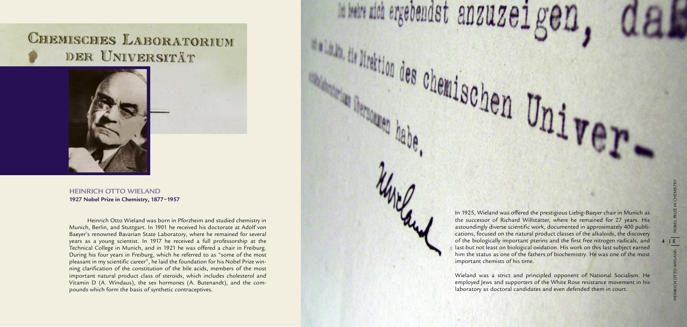Heinrich Otto Wieland was born in Pforzheim and studied chemistry in Munich, Berlin, and Stuttgart. In 1901 he received his doctorate at Adolf von Baeyer's renowned Bavarian State Laboratory, where he remained for several years as a young scientist. In 1917 he received a full professorship at the Technical College in Munich, and in 1921 he was offered a chair in Freiburg. During his four years in Freiburg, which he referred to as "some of the most pleasant in my scientific career", he laid the foundation for his Nobel Prize win ning clarification of the constitution of the bile acids, members of the most important natural product class of steroids, which includes cholesterol and Vitamin D (A. Windaus), the sex hormones (A. Butenandt), and the com pounds which form the basis of synthetic contraceptives.

In 1925, Wieland was offered the prestigious Liebig-Baeyer chair in Munich as the successor of Richard Willstätter, where he remained for 27 years. His astoundingly diverse scientific work, documented in approximately 400 publi cations, focused on the natural product classes of the alkaloids, the discovery of the biologically important pterins and the first free nitrogen radicals, and last but not least on biological oxidation. His work on this last subject earned him the status as one of the fathers of biochemistry. He was one of the most



Wieland was a strict and principled opponent of National Socialism. He employed Jews and supporters of the White Rose resistance movement in his laboratory as doctoral candidates and even defended them in court.

### **CHEMISCHES LABORATORIUM** DER UNIVERSITÄT



**HEINRICH OTTO WIELAND 1927 Nobel Prize in Chemistry, 1877–1957**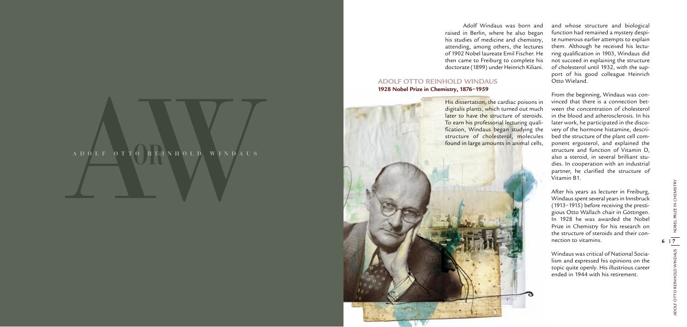## AW**ADOLF OTTO REINHOLD WINDAUS OR**

Adolf Windaus was born and raised in Berlin, where he also began his studies of medicine and chemistry, attending, among others, the lectures of 1902 Nobel laureate Emil Fischer. He then came to Freiburg to complete his doctorate (1899) under Heinrich Kiliani.

### **ADOLF OTTO REINHOLD WINDAUS 1928 Nobel Prize in Chemistry, 1876–1959**

and whose structure and biological function had remained a mystery despi te numerous earlier attempts to explain them. Although he received his lectu ring qualification in 1903, Windaus did not succeed in explaining the structure of cholesterol until 1932, with the sup port of his good colleague Heinrich Otto Wieland.

From the beginning, Windaus was con vinced that there is a connection bet ween the concentration of cholesterol in the blood and atherosclerosis. In his later work, he participated in the disco very of the hormone histamine, descri bed the structure of the plant cell com ponent ergosterol, and explained the structure and function of Vitamin D, also a steroid, in several brilliant stu dies. In cooperation with an industrial partner, he clarified the structure of Vitamin B1.

After his years as lecturer in Freiburg, Windaus spent several years in Innsbruck (1913–1915) before receiving the prestigious Otto Wallach chair in Göttingen. In 1928 he was awarded the Nobel Prize in Chemistry for his research on the structure of steroids and their con nection to vitamins.

Windaus was critical of National Socialism and expressed his opinions on the topic quite openly. His illustrious career ended in 1944 with his retirement.

His dissertation, the cardiac poisons in digitalis plants, which turned out much later to have the structure of steroids. To earn his professorial lecturing quali fication, Windaus began studying the structure of cholesterol, molecules found in large amounts in animal cells,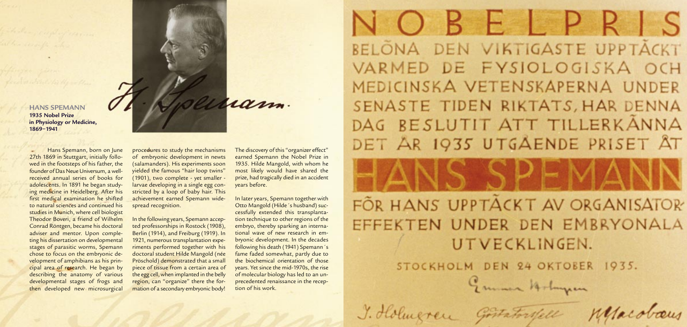**HANS SPEMANN 1935 Nobel Prize in Physiology or Medicine, 1869–1941**

> procedures to study the mechanisms of embryonic development in newts (salamanders). His experiments soon yielded the famous "hair loop twins" (1901), two complete - yet smaller larvae developing in a single egg constricted by a loop of baby hair. This achievement earned Spemann widespread recognition.

Hans Spemann, born on June  $\omega$ 27th 1869 in Stuttgart, initially followed in the footsteps of his father, the founder of Das Neue Universum, a wellreceived annual series of books for adolescents. In 1891 he began studying medicine in Heidelberg. After his first medical examination he shifted to natural sciences and continued his studies in Munich, where cell biologist Theodor Boveri, a friend of Wilhelm Conrad Röntgen, became his doctoral adviser and mentor. Upon completing his dissertation on developmental stages of parasitic worms, Spemann chose to focus on the embryonic development of amphibians as his principal area of research. He began by describing the anatomy of various developmental stages of frogs and then developed new microsurgical

In the following years, Spemann accepted professorships in Rostock (1908), Berlin (1914), and Freiburg (1919). In 1921, numerous transplantation experiments performed together with his doctoral student Hilde Mangold (née Pröschold) demonstrated that a small piece of tissue from a certain area of the egg cell, when implanted in the belly region, can "organize" there the formation of a secondary embryonic body!

The discovery of this "organizer effect" earned Spemann the Nobel Prize in 1935. Hilde Mangold, with whom he most likely would have shared the prize, had tragically died in an accident years before.

ram.

In later years, Spemann together with Otto Mangold (Hilde´s husband) successfully extended this transplantation technique to other regions of the embryo, thereby sparking an international wave of new research in embryonic development. In the decades following his death (1941) Spemann´s fame faded somewhat, partly due to the biochemical orientation of those years. Yet since the mid-1970s, the rise of molecular biology has led to an unprecedented renaissance in the reception of his work.

NOBELPRIS BELONA DEN VIKTIGASTE UPPTACKT VARMED DE FYSIOLOGISKA OCH MEDICINSKA VETENSKAPERNA UNDER SENASTE TIDEN RIKTATS, HAR DENNA DAG BESLUTIT ATT TILLERKANNA DET AR 1935 UTGAENDE PRISET ÅT

FÖR HANS UPPTÄCKT AV ORGANISATOR EFFEKTEN UNDER DEN EMBRYONALA UTVECKLINGEN. STOCKHOLM DEN 24 OKTOBER 1935.

Emmer Holmpen

J. Holmgren Gostatorsfell Mesabaus

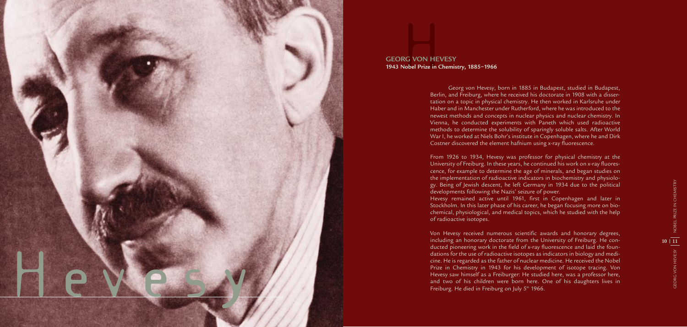Georg von Hevesy, born in 1885 in Budapest, studied in Budapest, Berlin, and Freiburg, where he received his doctorate in 1908 with a disser tation on a topic in physical chemistry. He then worked in Karlsruhe under Haber and in Manchester under Rutherford, where he was introduced to the newest methods and concepts in nuclear physics and nuclear chemistry. In Vienna, he conducted experiments with Paneth which used radioactive methods to determine the solubility of sparingly soluble salts. After World War I, he worked at Niels Bohr's institute in Copenhagen, where he and Dirk Costner discovered the element hafnium using x-ray fluorescence.

Von Hevesy received numerous scientific awards and honorary degrees, including an honorary doctorate from the University of Freiburg. He con ducted pioneering work in the field of x-ray fluorescence and laid the foun dations for the use of radioactive isotopes as indicators in biology and medi cine. He is regarded as the father of nuclear medicine. He received the Nobel Prize in Chemistry in 1943 for his development of isotope tracing. Von Hevesy saw himself as a Freiburger: He studied here, was a professor here, and two of his children were born here. One of his daughters lives in Freiburg. He died in Freiburg on July  $5<sup>th</sup>$  1966.

From 1926 to 1934, Hevesy was professor for physical chemistry at the University of Freiburg. In these years, he continued his work on x-ray fluores cence, for example to determine the age of minerals, and began studies on the implementation of radioactive indicators in biochemistry and physiolo gy. Being of Jewish descent, he left Germany in 1934 due to the political developments following the Nazis' seizure of power. Hevesy remained active until 1961, first in Copenhagen and later in Stockholm. In this later phase of his career, he began focusing more on bio chemical, physiological, and medical topics, which he studied with the help of radioactive isotopes.

### G VON HE<br>obel Prize in ( **GEORG VON HEVESY 1943 Nobel Prize in Chemistry, 1885–1966**

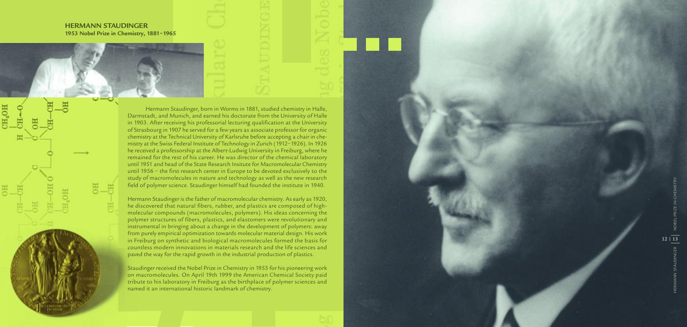**HERMANN STAUDINGER 1953 Nobel Prize in Chemistry, 1881–1965**

CH<sub>2</sub>OH



Hermann Staudinger, born in Worms in 1881, studied chemistry in Halle, Darmstadt, and Munich, and earned his doctorate from the University of Halle in 1903. After receiving his professorial lecturing qualification at the University of Strasbourg in 1907 he served for a few years as associate professor for organic chemistry at the Technical University of Karlsruhe before accepting a chair in che mistry at the Swiss Federal Institute of Technology in Zurich (1912–1926). In 1926 he received a professorship at the Albert-Ludwig University in Freiburg, where he remained for the rest of his career. He was director of the chemical laboratory until 1951 and head of the State Research Insitute for Macromolecular Chemistry until 1956 – the first research center in Europe to be devoted exclusively to the study of macromolecules in nature and technology as well as the new research field of polymer science. Staudinger himself had founded the institute in 1940.

Hermann Staudinger is the father of macromolecular chemistry. As early as 1920, he discovered that natural fibers, rubber, and plastics are composed of highmolecular compounds (macromolecules, polymers). His ideas concerning the polymer structures of fibers, plastics, and elastomers were revolutionary and instrumental in bringing about a change in the development of polymers: away from purely empirical optimization towards molecular material design. His work in Freiburg on synthetic and biological macromolecules formed the basis for countless modern innovations in materials research and the life sciences and paved the way for the rapid growth in the industrial production of plastics.

Staudinger received the Nobel Prize in Chemistry in 1953 for his pioneering work on macromolecules. On April 19th 1999 the American Chemical Society paid tribute to his laboratory in Freiburg as the birthplace of polymer sciences and named it an international historic landmark of chemistry.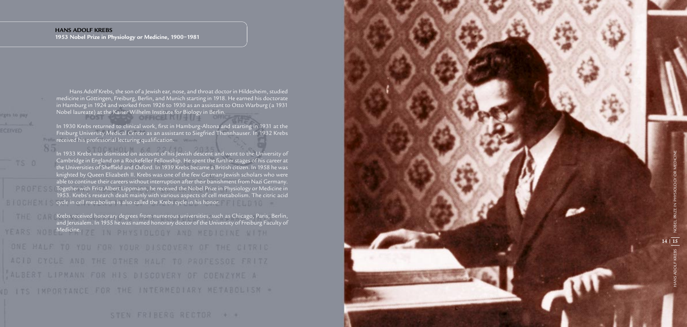Hans Adolf Krebs, the son of a Jewish ear, nose, and throat doctor in Hildesheim, studied medicine in Göttingen, Freiburg, Berlin, and Munich starting in 1918. He earned his doctorate in Hamburg in 1924 and worked from 1926 to 1930 as an assistant to Otto Warburg (a 1931 Nobel laureate) at the Kaiser Wilhelm Institute for Biology in Berlin.

In 1930 Krebs returned to clinical work, first in Hamburg-Altona and starting in 1931 at the Freiburg University Medical Center as an assistant to Siegfried Thannhauser. In 1932 Krebs received his professorial lecturing qualification.

CTOCKHOLM KA 22140 In 1933 Krebs was dismissed on account of his Jewish descent and went to the University of Cambridge in England on a Rockefeller Fellowship. He spent the further stages of his career at the Universities of Sheffield and Oxford. In 1939 Krebs became a British citizen. In 1958 he was knighted by Queen Elizabeth II. Krebs was one of the few German-Jewish scholars who were able to continue their careers without interruption after their banishment from Nazi Germany. Together with Fritz Albert Lippmann, he received the Nobel Prize in Physiology or Medicine in 1953. Krebs's research dealt mainly with various aspects of cell metabolism. The citric acid cycle in cell metabolism is also called the Krebs cycle in his honor.

Krebs received honorary degrees from numerous universities, such as Chicago, Paris, Berlin, and Jerusalem. In 1955 he was named honorary doctor of the University of Freiburg Faculty of Medicine. The Medicine of the Contract of the Contract of the Contract of the Contract of the Contract of the Contract of the Contract of the Contract of the Contract of the Contract of the Contract of the Contract of the ONE HALF TO YOU FOR YOUR DISCOVERY OF THE CITRIC ACID CYCLE AND THE OTHER HALF TO PROFESSOE FRITZ ALBERT LIPMANN FOR HIS DISCOVERY OF COENZYME A ID ITS IMPORTANCE FOR THE INTERMEDIARY METABOLISM =

STEN FRIBERG RECTOR + +

### **HANS ADOLF KREBS**

**1953 Nobel Prize in Physiology or Medicine, 1900–1981**

rges to pay

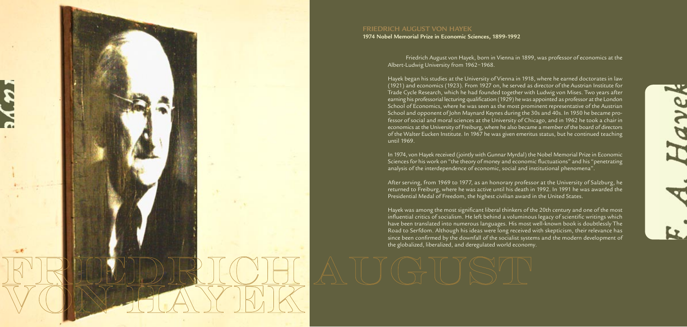Friedrich August von Hayek, born in Vienna in 1899, was professor of economics at the Albert-Ludwig University from 1962–1968.

Hayek began his studies at the University of Vienna in 1918, where he earned doctorates in law (1921) and economics (1923). From 1927 on, he served as director of the Austrian Institute for Trade Cycle Research, which he had founded together with Ludwig von Mises. Two years after earning his professorial lecturing qualification (1929) he was appointed as professor at the London School of Economics, where he was seen as the most prominent representative of the Austrian School and opponent of John Maynard Keynes during the 30s and 40s. In 1950 he became professor of social and moral sciences at the University of Chicago, and in 1962 he took a chair in economics at the University of Freiburg, where he also became a member of the board of directors of the Walter Eucken Institute. In 1967 he was given emeritus status, but he continued teaching until 1969.

In 1974, von Hayek received (jointly with Gunnar Myrdal) the Nobel Memorial Prize in Economic Sciences for his work on "the theory of money and economic fluctuations" and his "penetrating analysis of the interdependence of economic, social and institutional phenomena".

After serving, from 1969 to 1977, as an honorary professor at the University of Salzburg, he returned to Freiburg, where he was active until his death in 1992. In 1991 he was awarded the Presidential Medal of Freedom, the highest civilian award in the United States.

Hayek was among the most significant liberal thinkers of the 20th century and one of the most influential critics of socialism. He left behind a voluminous legacy of scientific writings which have been translated into numerous languages. His most well-known book is doubtlessly The Road to Serfdom. Although his ideas were long received with skepticism, their relevance has since been confirmed by the downfall of the socialist systems and the modern development of the globalized, liberalized, and deregulated world economy.





### **FRIEDRICH AUGUST VON HAYEK**

**1974 Nobel Memorial Prize in Economic Sciences, 1899-1992**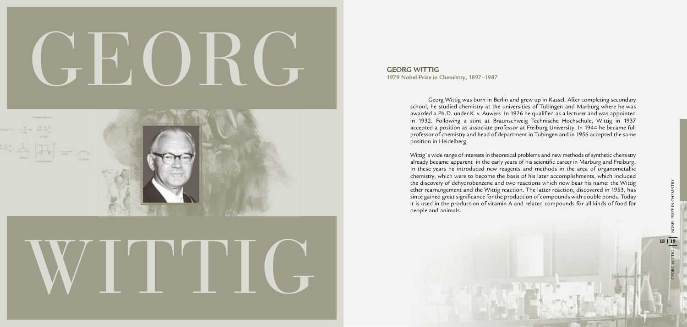# GEORGI KU the isomage the start of the production, the latter restricts, absorbed in 1983, has interested in 1983, has interested in 1983, has interested in 1983, has interested in the production of compounds with double knowledge i

**GEORG WITTIG 1979 Nobel Prize in Chemistry, 1897–1987**

> Georg Wittig was born in Berlin and grew up in Kassel. After completing secondary school, he studied chemistry at the universities of Tübingen and Marburg where he was awarded a Ph.D. under K. v. Auwers. In 1926 he qualified as a lecturer and was appointed in 1932. Following a stint at Braunschweig Technische Hochschule, Wittig in 1937 accepted a position as associate professor at Freiburg University. In 1944 he became full professor of chemistry and head of department in Tübingen and in 1956 accepted the same position in Heidelberg.

> Wittig`s wide range of interests in theoretical problems and new methods of synthetic chemistry already became apparent in the early years of his scientific career in Marburg and Freiburg. In these years he introduced new reagents and methods in the area of organometallic chemistry, which were to become the basis of his later accomplishments, which included the discovery of dehydrobenzene and two reactions which now bear his name: the Wittig ether rearrangement and the Wittig reaction. The latter reaction, discovered in 1953, has since gained great significance for the production of compounds with double bonds. Today it is used in the production of vitamin A and related compounds for all kinds of food for people and animals.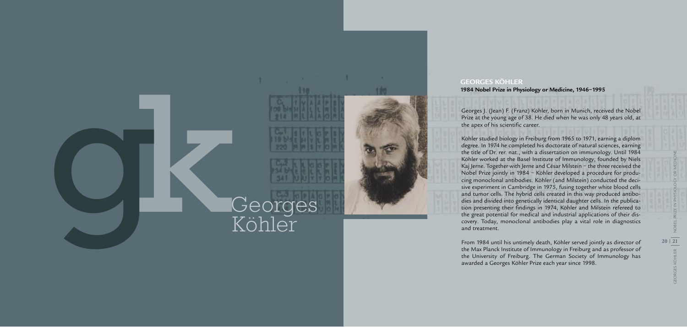

Georges J. (Jean) F. (Franz) Köhler, born in Munich, received the Nobel Prize at the young age of 38. He died when he was only 48 years old, at the apex of his scientific career.

Köhler studied biology in Freiburg from 1965 to 1971, earning a diplom degree. In 1974 he completed his doctorate of natural sciences, earning the title of Dr. rer. nat., with a dissertation on immunology. Until 1984 Köhler worked at the Basel Institute of Immunology, founded by Niels Kaj Jerne. Together with Jerne and César Milstein - the three received the Nobel Prize jointly in 1984 – Köhler developed a procedure for producing monoclonal antibodies. Köhler (and Milstein) conducted the decisive experiment in Cambridge in 1975, fusing together white blood cells and tumor cells. The hybrid cells created in this way produced antibodies and divided into genetically identical daughter cells. In the publication presenting their findings in 1974, Köhler and Milstein refereed to the great potential for medical and industrial applications of their discovery. Today, monoclonal antibodies play a vital role in diagnostics and treatment.

GEORGES KÖHLER NOBEL PRIZE IN PHYSIOLOGY OR MEDICINE $20 | 21$ KÖHLER

From 1984 until his untimely death, Köhler served jointly as director of the Max Planck Institute of Immunology in Freiburg and as professor of the University of Freiburg. The German Society of Immunology has awarded a Georges Köhler Prize each year since 1998.

### **GEORGES KÖHLER 1984 Nobel Prize in Physiology or Medicine, 1946–1995**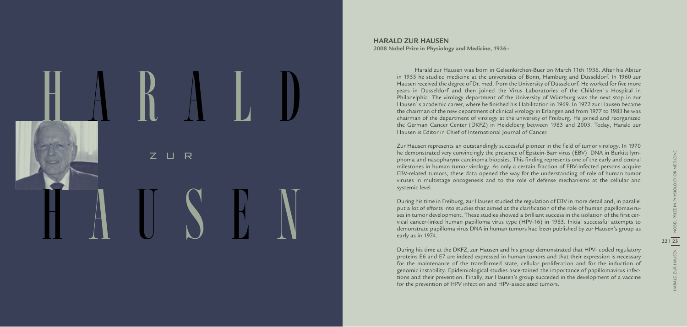### $R$ H A R A  $\overline{\mathsf{L}}$  $\mathbb{D}$ H A U S E N

Harald zur Hausen was born in Gelsenkirchen-Buer on March 11th 1936. After his Abitur in 1955 he studied medicine at the universities of Bonn, Hamburg and Düsseldorf. In 1960 zur Hausen received the degree of Dr. med. from the University of Düsseldorf. He worked for five more years in Düsseldorf and then joined the Virus Laboratories of the Children`s Hospital in Philadelphia. The virology department of the University of Würzburg was the next stop in zur Hausen`s academic career, where he finished his Habilitation in 1969. In 1972 zur Hausen became the chairman of the new department of clinical virology in Erlangen and from 1977 to 1983 he was chairman of the department of virology at the university of Freiburg. He joined and reorganized the German Cancer Center (DKFZ) in Heidelberg between 1983 and 2003. Today, Harald zur Hausen is Editor in Chief of International Journal of Cancer.

Zur Hausen represents an outstandingly successful pioneer in the field of tumor virology. In 1970 he demonstrated very convincingly the presence of Epstein-Barr virus (EBV) DNA in Burkitt lym phoma and nasopharynx carcinoma biopsies. This finding represents one of the early and central milestones in human tumor virology. As only a certain fraction of EBV-infected persons acquire EBV-related tumors, these data opened the way for the understanding of role of human tumor viruses in multistage oncogenesis and to the role of defense mechanisms at the cellular and systemic level.

During his time in Freiburg, zur Hausen studied the regulation of EBV in more detail and, in parallel put a lot of efforts into studies that aimed at the clarification of the role of human papillomaviru ses in tumor development. These studies showed a brilliant success in the isolation of the first cer vical cancer-linked human papilloma virus type (HPV-16) in 1983. Initial successful attempts to demonstrate papilloma virus DNA in human tumors had been published by zur Hausen's group as early as in 1974.

During his time at the DKFZ, zur Hausen and his group demonstrated that HPV- coded regulatory proteins E6 and E7 are indeed expressed in human tumors and that their expression is necessary for the maintenance of the transformed state, cellular proliferation and for the induction of genomic instability. Epidemiological studies ascertained the importance of papillomavirus infec tions and their prevention. Finally, zur Hausen's group succeded in the development of a vaccine for the prevention of HPV infection and HPV-associated tumors.

### **HARALD ZUR HAUSEN**

**2008 Nobel Prize in Physiology and Medicine, 193 6 -**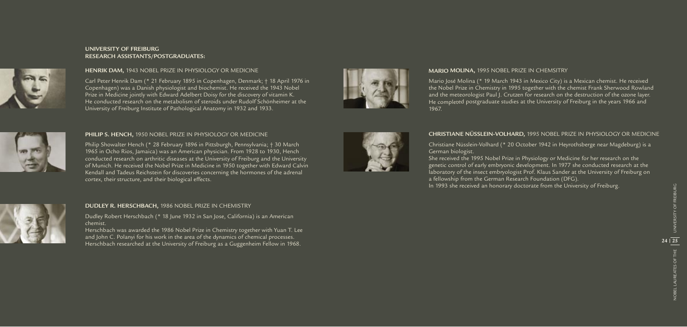### **HENRIK DAM,** 1943 NOBEL PRIZE IN PHYSIOLOGY OR MEDICINE

Carl Peter Henrik Dam (\* 21 February 1895 in Copenhagen, Denmark; † 18 April 1976 in Copenhagen) was a Danish physiologist and biochemist. He received the 1943 Nobel Prize in Medicine jointly with Edward Adelbert Doisy for the discovery of vitamin K. He conducted research on the metabolism of steroids under Rudolf Schönheimer at the University of Freiburg Institute of Pathological Anatomy in 1932 and 1933.



### **MARIO MOLINA,** 1995 NOBEL PRIZE IN CHEMSITRY

Mario José Molina (\* 19 March 1943 in Mexico City) is a Mexican chemist. He received the Nobel Prize in Chemistry in 1995 together with the chemist Frank Sherwood Rowland and the meteorologist Paul J. Crutzen for research on the destruction of the ozone layer. He completed postgraduate studies at the University of Freiburg in the years 1966 and 1967.

### **CHRISTIANE NÜSSLEIN-VOLHARD,** 1995 NOBEL PRIZE IN PHYSIOLOGY OR MEDICINE

Christiane Nüsslein-Volhard (\* 20 October 1942 in Heyrothsberge near Magdeburg) is a German biologist.

Philip Showalter Hench (\* 28 February 1896 in Pittsburgh, Pennsylvania; † 30 March 1965 in Ocho Rios, Jamaica) was an American physician. From 1928 to 1930, Hench conducted research on arthritic diseases at the University of Freiburg and the University of Munich. He received the Nobel Prize in Medicine in 1950 together with Edward Calvin Kendall and Tadeus Reichstein for discoveries concerning the hormones of the adrenal cortex, their structure, and their biological effects.



She received the 1995 Nobel Prize in Physiology or Medicine for her research on the genetic control of early embryonic development. In 1977 she conducted research at the laboratory of the insect embryologist Prof. Klaus Sander at the University of Freiburg on a fellowship from the German Research Foundation (DFG). In 1993 she received an honorary doctorate from the University of Freiburg.



**NOBEL LAUREATES OF THE** NOBEL LAUREATES OF THE

### **UNIVERSITY OF FREIBURG RESEARCH ASSISTANTS/POSTGRADUATES:**



### **PHILIP S. HENCH,** 1950 NOBEL PRIZE IN PHYSIOLOGY OR MEDICINE

### **DUDLEY R. HERSCHBACH,** 1986 NOBEL PRIZE IN CHEMISTRY

Dudley Robert Herschbach (\* 18 June 1932 in San Jose, California) is an American chemist.

Herschbach was awarded the 1986 Nobel Prize in Chemistry together with Yuan T. Lee and John C. Polanyi for his work in the area of the dynamics of chemical processes. Herscher R. HERSCHBACH, 1986 NOBEL PRIZE IN CHEMISTRY<br>Dudley Robert Herschbach (\* 18 June 1932 in San Jose, California) is an American<br>2008 - Dudley Robert Herschbach (\* 18 June 1932 in San Jose, California) is an American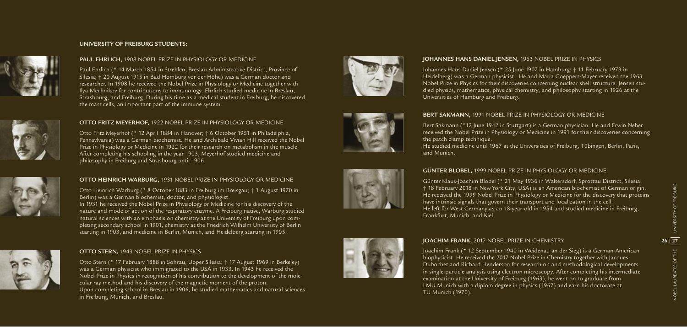### **GÜNTER BLOBEL,** 1999 NOBEL PRIZE IN PHYSIOLOGY OR MEDICINE

Günter Klaus-Joachim Blobel (\* 21 May 1936 in Waltersdorf, Sprottau District, Silesia, † 18 February 2018 in New York City, USA) is an American biochemist of German origin. He received the 1999 Nobel Prize in Physiology or Medicine for the discovery that proteins have intrinsic signals that govern their transport and localization in the cell. He left for West Germany as an 18-year-old in 1954 and studied medicine in Freiburg, Frankfurt, Munich, and Kiel.

### **JOACHIM FRANK,** 2017 NOBEL PRIZE IN CHEMISTRY

Joachim Frank (\* 12 September 1940 in Weidenau an der Sieg) is a German-American biophysicist. He received the 2017 Nobel Prize in Chemistry together with Jacques Dubochet and Richard Henderson for research on and methodological developments in single-particle analysis using electron microscopy. After completing his intermediate examination at the University of Freiburg (1963), he went on to graduate from LMU Munich with a diplom degree in physics (1967) and earn his doctorate at TU Munich (1970).

### **UNIVERSITY OF FREIBURG STUDENTS:**

### **JOHANNES HANS DANIEL JENSEN,** 1963 NOBEL PRIZE IN PHYSICS

Johannes Hans Daniel Jensen (\* 25 June 1907 in Hamburg; † 11 February 1973 in Heidelberg) was a German physicist. He and Maria Goeppert-Mayer received the 1963 Nobel Prize in Physics for their discoveries concerning nuclear shell structure. Jensen stu died physics, mathematics, physical chemistry, and philosophy starting in 1926 at the Universities of Hamburg and Freiburg.

### **OTTO FRITZ MEYERHOF,** 1922 NOBEL PRIZE IN PHYSIOLOGY OR MEDICINE

Otto Fritz Meyerhof (\* 12 April 1884 in Hanover; † 6 October 1951 in Philadelphia, Pennsylvania) was a German biochemist. He and Archibald Vivian Hill received the Nobel Prize in Physiology or Medicine in 1922 for their research on metabolism in the muscle. After completing his schooling in the year 1903, Meyerhof studied medicine and philosophy in Freiburg and Strasbourg until 1906.



### **BERT SAKMANN,** 1991 NOBEL PRIZE IN PHYSIOLOGY OR MEDICINE

Bert Sakmann (\*12 June 1942 in Stuttgart) is a German physician. He and Erwin Neher received the Nobel Prize in Physiology or Medicine in 1991 for their discoveries concerning the patch clamp technique. He studied medicine until 1967 at the Universities of Freiburg, Tübingen, Berlin, Paris, and Munich.

### **OTTO STERN,** 1943 NOBEL PRIZE IN PHYSICS

Otto Stern (\* 17 February 1888 in Sohrau, Upper Silesia; † 17 August 1969 in Berkeley) was a German physicist who immigrated to the USA in 1933. In 1943 he received the Nobel Prize in Physics in recognition of his contribution to the development of the mole cular ray method and his discovery of the magnetic moment of the proton. Upon completing school in Breslau in 1906, he studied mathematics and natural sciences in Freiburg, Munich, and Breslau.









### **OTTO HEINRICH WARBURG,** 1931 NOBEL PRIZE IN PHYSIOLOGY OR MEDICINE

Otto Heinrich Warburg (\* 8 October 1883 in Freiburg im Breisgau; † 1 August 1970 in Berlin) was a German biochemist, doctor, and physiologist. In 1931 he received the Nobel Prize in Physiology or Medicine for his discovery of the nature and mode of action of the respiratory enzyme. A Freiburg native, Warburg studied natural sciences with an emphasis on chemistry at the University of Freiburg upon com pleting secondary school in 1901, chemistry at the Friedrich Wilhelm University of Berlin starting in 1903, and medicine in Berlin, Munich, and Heidelberg starting in 1905.





Paul Ehrlich (\* 14 March 1854 in Strehlen, Breslau Administrative District, Province of Silesia; † 20 August 1915 in Bad Homburg vor der Höhe) was a German doctor and researcher. In 1908 he received the Nobel Prize in Physiology or Medicine together with Ilya Mechnikov for contributions to immunology. Ehrlich studied medicine in Breslau, Strasbourg, and Freiburg. During his time as a medical student in Freiburg, he discovered the mast cells, an important part of the immune system.